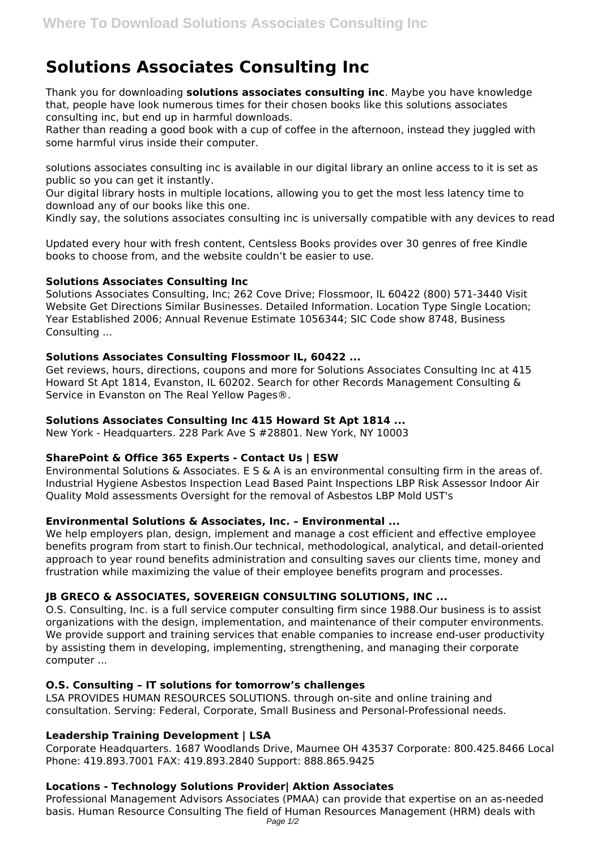# **Solutions Associates Consulting Inc**

Thank you for downloading **solutions associates consulting inc**. Maybe you have knowledge that, people have look numerous times for their chosen books like this solutions associates consulting inc, but end up in harmful downloads.

Rather than reading a good book with a cup of coffee in the afternoon, instead they juggled with some harmful virus inside their computer.

solutions associates consulting inc is available in our digital library an online access to it is set as public so you can get it instantly.

Our digital library hosts in multiple locations, allowing you to get the most less latency time to download any of our books like this one.

Kindly say, the solutions associates consulting inc is universally compatible with any devices to read

Updated every hour with fresh content, Centsless Books provides over 30 genres of free Kindle books to choose from, and the website couldn't be easier to use.

## **Solutions Associates Consulting Inc**

Solutions Associates Consulting, Inc; 262 Cove Drive; Flossmoor, IL 60422 (800) 571-3440 Visit Website Get Directions Similar Businesses. Detailed Information. Location Type Single Location; Year Established 2006; Annual Revenue Estimate 1056344; SIC Code show 8748, Business Consulting ...

## **Solutions Associates Consulting Flossmoor IL, 60422 ...**

Get reviews, hours, directions, coupons and more for Solutions Associates Consulting Inc at 415 Howard St Apt 1814, Evanston, IL 60202. Search for other Records Management Consulting & Service in Evanston on The Real Yellow Pages®.

## **Solutions Associates Consulting Inc 415 Howard St Apt 1814 ...**

New York - Headquarters. 228 Park Ave S #28801. New York, NY 10003

# **SharePoint & Office 365 Experts - Contact Us | ESW**

Environmental Solutions & Associates. E S & A is an environmental consulting firm in the areas of. Industrial Hygiene Asbestos Inspection Lead Based Paint Inspections LBP Risk Assessor Indoor Air Quality Mold assessments Oversight for the removal of Asbestos LBP Mold UST's

# **Environmental Solutions & Associates, Inc. – Environmental ...**

We help employers plan, design, implement and manage a cost efficient and effective employee benefits program from start to finish.Our technical, methodological, analytical, and detail-oriented approach to year round benefits administration and consulting saves our clients time, money and frustration while maximizing the value of their employee benefits program and processes.

# **JB GRECO & ASSOCIATES, SOVEREIGN CONSULTING SOLUTIONS, INC ...**

O.S. Consulting, Inc. is a full service computer consulting firm since 1988.Our business is to assist organizations with the design, implementation, and maintenance of their computer environments. We provide support and training services that enable companies to increase end-user productivity by assisting them in developing, implementing, strengthening, and managing their corporate computer ...

#### **O.S. Consulting – IT solutions for tomorrow's challenges**

LSA PROVIDES HUMAN RESOURCES SOLUTIONS. through on-site and online training and consultation. Serving: Federal, Corporate, Small Business and Personal-Professional needs.

# **Leadership Training Development | LSA**

Corporate Headquarters. 1687 Woodlands Drive, Maumee OH 43537 Corporate: 800.425.8466 Local Phone: 419.893.7001 FAX: 419.893.2840 Support: 888.865.9425

#### **Locations - Technology Solutions Provider| Aktion Associates**

Professional Management Advisors Associates (PMAA) can provide that expertise on an as-needed basis. Human Resource Consulting The field of Human Resources Management (HRM) deals with Page 1/2